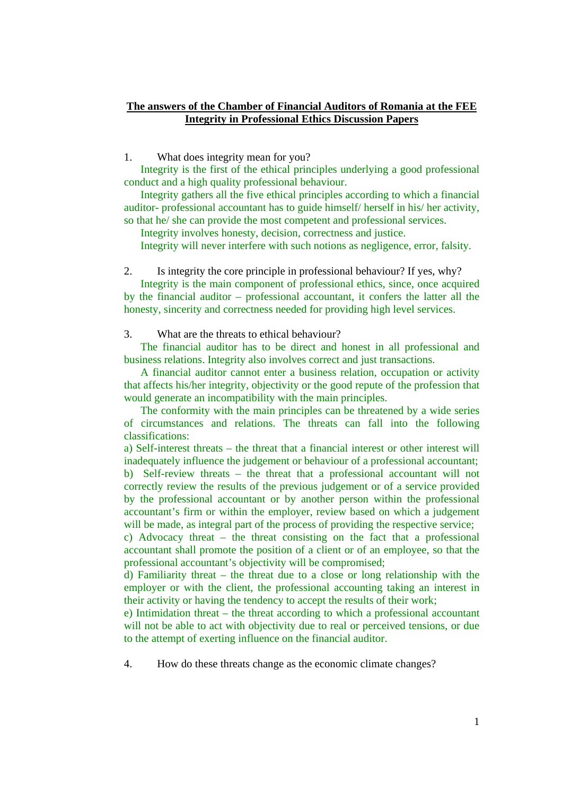## **The answers of the Chamber of Financial Auditors of Romania at the FEE Integrity in Professional Ethics Discussion Papers**

1. What does integrity mean for you?

Integrity is the first of the ethical principles underlying a good professional conduct and a high quality professional behaviour.

 Integrity gathers all the five ethical principles according to which a financial auditor- professional accountant has to guide himself/ herself in his/ her activity, so that he/ she can provide the most competent and professional services.

Integrity involves honesty, decision, correctness and justice.

Integrity will never interfere with such notions as negligence, error, falsity.

2. Is integrity the core principle in professional behaviour? If yes, why?

Integrity is the main component of professional ethics, since, once acquired by the financial auditor – professional accountant, it confers the latter all the honesty, sincerity and correctness needed for providing high level services.

3. What are the threats to ethical behaviour?

The financial auditor has to be direct and honest in all professional and business relations. Integrity also involves correct and just transactions.

 A financial auditor cannot enter a business relation, occupation or activity that affects his/her integrity, objectivity or the good repute of the profession that would generate an incompatibility with the main principles.

 The conformity with the main principles can be threatened by a wide series of circumstances and relations. The threats can fall into the following classifications:

a) Self-interest threats – the threat that a financial interest or other interest will inadequately influence the judgement or behaviour of a professional accountant; b) Self-review threats – the threat that a professional accountant will not correctly review the results of the previous judgement or of a service provided by the professional accountant or by another person within the professional accountant's firm or within the employer, review based on which a judgement will be made, as integral part of the process of providing the respective service;

c) Advocacy threat – the threat consisting on the fact that a professional accountant shall promote the position of a client or of an employee, so that the professional accountant's objectivity will be compromised;

d) Familiarity threat – the threat due to a close or long relationship with the employer or with the client, the professional accounting taking an interest in their activity or having the tendency to accept the results of their work;

e) Intimidation threat – the threat according to which a professional accountant will not be able to act with objectivity due to real or perceived tensions, or due to the attempt of exerting influence on the financial auditor.

4. How do these threats change as the economic climate changes?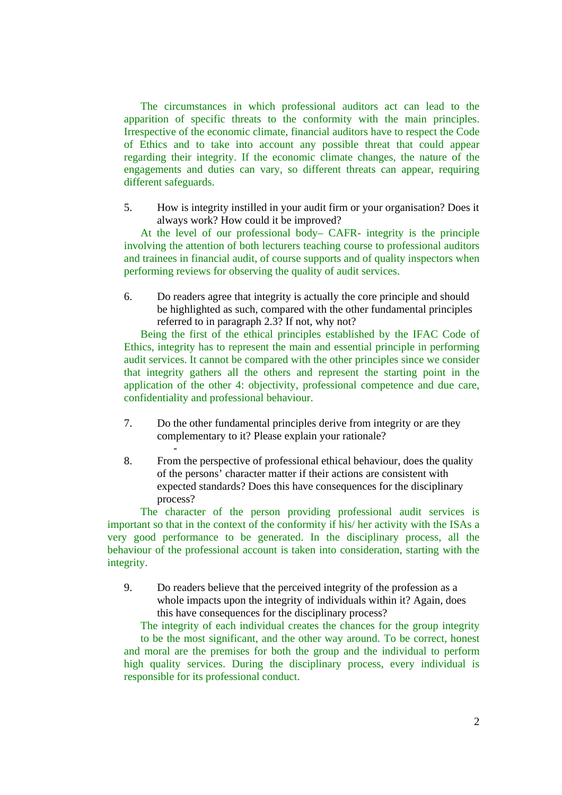The circumstances in which professional auditors act can lead to the apparition of specific threats to the conformity with the main principles. Irrespective of the economic climate, financial auditors have to respect the Code of Ethics and to take into account any possible threat that could appear regarding their integrity. If the economic climate changes, the nature of the engagements and duties can vary, so different threats can appear, requiring different safeguards.

5. How is integrity instilled in your audit firm or your organisation? Does it always work? How could it be improved?

At the level of our professional body– CAFR- integrity is the principle involving the attention of both lecturers teaching course to professional auditors and trainees in financial audit, of course supports and of quality inspectors when performing reviews for observing the quality of audit services.

6. Do readers agree that integrity is actually the core principle and should be highlighted as such, compared with the other fundamental principles referred to in paragraph 2.3? If not, why not?

 Being the first of the ethical principles established by the IFAC Code of Ethics, integrity has to represent the main and essential principle in performing audit services. It cannot be compared with the other principles since we consider that integrity gathers all the others and represent the starting point in the application of the other 4: objectivity, professional competence and due care, confidentiality and professional behaviour.

7. Do the other fundamental principles derive from integrity or are they complementary to it? Please explain your rationale?

 $\sim$  -  $\sim$   $\sim$   $\sim$   $\sim$   $\sim$ 

8. From the perspective of professional ethical behaviour, does the quality of the persons' character matter if their actions are consistent with expected standards? Does this have consequences for the disciplinary process?

 The character of the person providing professional audit services is important so that in the context of the conformity if his/ her activity with the ISAs a very good performance to be generated. In the disciplinary process, all the behaviour of the professional account is taken into consideration, starting with the integrity.

9. Do readers believe that the perceived integrity of the profession as a whole impacts upon the integrity of individuals within it? Again, does this have consequences for the disciplinary process?

 The integrity of each individual creates the chances for the group integrity to be the most significant, and the other way around. To be correct, honest and moral are the premises for both the group and the individual to perform high quality services. During the disciplinary process, every individual is responsible for its professional conduct.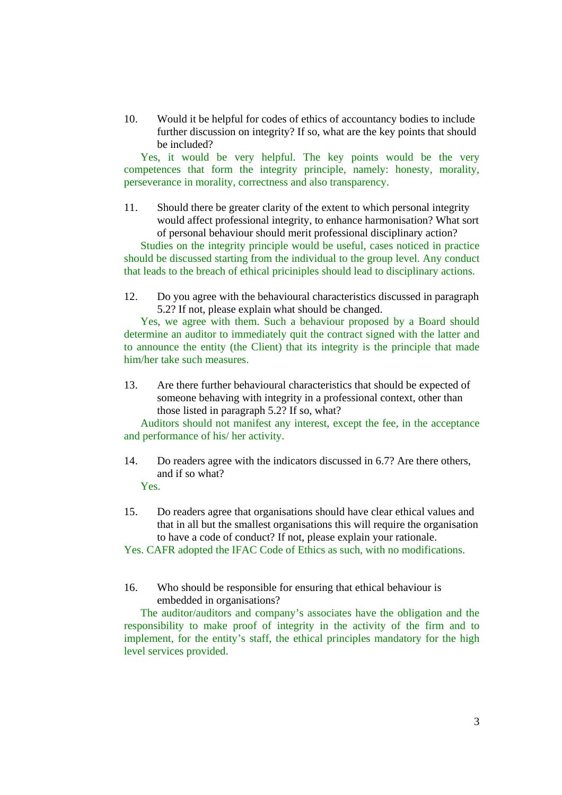10. Would it be helpful for codes of ethics of accountancy bodies to include further discussion on integrity? If so, what are the key points that should be included?

 Yes, it would be very helpful. The key points would be the very competences that form the integrity principle, namely: honesty, morality, perseverance in morality, correctness and also transparency.

11. Should there be greater clarity of the extent to which personal integrity would affect professional integrity, to enhance harmonisation? What sort of personal behaviour should merit professional disciplinary action?

 Studies on the integrity principle would be useful, cases noticed in practice should be discussed starting from the individual to the group level. Any conduct that leads to the breach of ethical priciniples should lead to disciplinary actions.

12. Do you agree with the behavioural characteristics discussed in paragraph 5.2? If not, please explain what should be changed.

Yes, we agree with them. Such a behaviour proposed by a Board should determine an auditor to immediately quit the contract signed with the latter and to announce the entity (the Client) that its integrity is the principle that made him/her take such measures.

13. Are there further behavioural characteristics that should be expected of someone behaving with integrity in a professional context, other than those listed in paragraph 5.2? If so, what?

Auditors should not manifest any interest, except the fee, in the acceptance and performance of his/ her activity.

- 14. Do readers agree with the indicators discussed in 6.7? Are there others, and if so what? Yes.
- 15. Do readers agree that organisations should have clear ethical values and that in all but the smallest organisations this will require the organisation to have a code of conduct? If not, please explain your rationale.

Yes. CAFR adopted the IFAC Code of Ethics as such, with no modifications.

16. Who should be responsible for ensuring that ethical behaviour is embedded in organisations?

 The auditor/auditors and company's associates have the obligation and the responsibility to make proof of integrity in the activity of the firm and to implement, for the entity's staff, the ethical principles mandatory for the high level services provided.